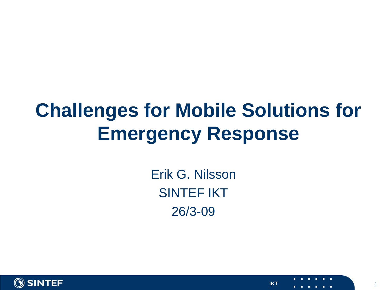### **Challenges for Mobile Solutions for Emergency Response**

Erik G. Nilsson SINTEF IKT 26/3-09

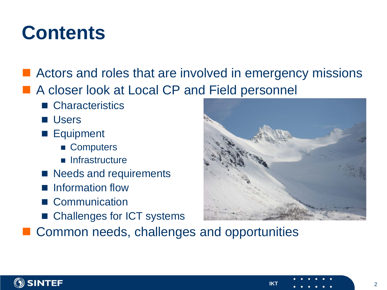### **Contents**

- Actors and roles that are involved in emergency missions
- A closer look at Local CP and Field personnel
	- Characteristics
	- **Users**
	- **Equipment** 
		- Computers
		- **n** Infrastructure
	- Needs and requirements
	- **Information flow**
	- Communication
	- Challenges for ICT systems

Common needs, challenges and opportunities

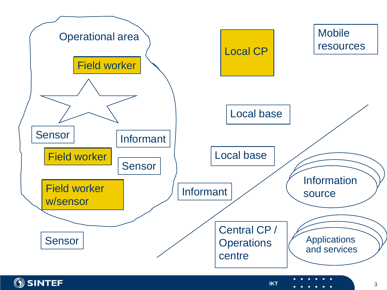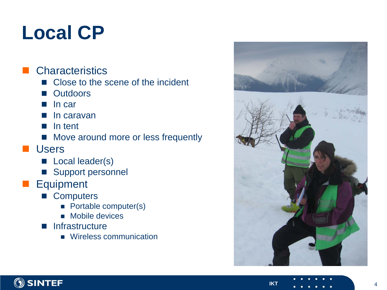### **Local CP**

#### **Characteristics**

- Close to the scene of the incident
- **Outdoors**
- In car
- In caravan
- In tent
- Move around more or less frequently
- **Users** 
	- **Local leader(s)**
	- Support personnel
- **Equipment** 
	- Computers
		- **Portable computer(s)**
		- **Mobile devices**
	- **n** Infrastructure
		- **Wireless communication**



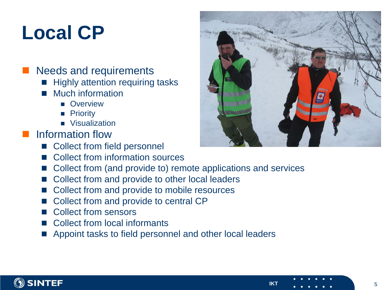### **Local CP**

#### ■ Needs and requirements

- **Highly attention requiring tasks**
- **Much information** 
	- **D** Overview
	- **Priority**
	- **Visualization**
- Information flow
	- Collect from field personnel
	- Collect from information sources
	- Collect from (and provide to) remote applications and services
	- Collect from and provide to other local leaders
	- Collect from and provide to mobile resources
	- Collect from and provide to central CP
	- Collect from sensors
	- Collect from local informants
	- Appoint tasks to field personnel and other local leaders



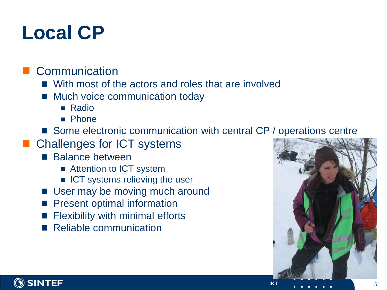### **Local CP**

### Communication

- With most of the actors and roles that are involved
- Much voice communication today
	- Radio
	- **Phone**
- Some electronic communication with central CP / operations centre
- Challenges for ICT systems
	- **Balance between** 
		- Attention to ICT system
		- **ICT** systems relieving the user
	- User may be moving much around
	- Present optimal information
	- Flexibility with minimal efforts
	- Reliable communication



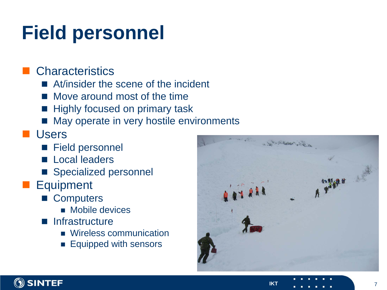## **Field personnel**

### **Characteristics**

- At/insider the scene of the incident
- Move around most of the time
- Highly focused on primary task
- May operate in very hostile environments

#### **Users**

- Field personnel
- **Local leaders**
- Specialized personnel
- **Equipment** 
	- Computers
		- **Mobile devices**
	- **na** Infrastructure
		- **Wireless communication**
		- **Equipped with sensors**



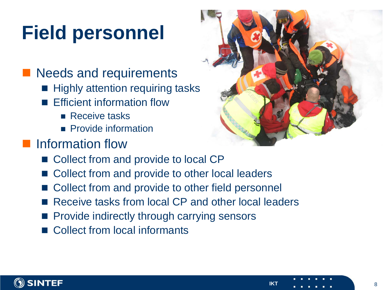# **Field personnel**

### **Needs and requirements**

- **Highly attention requiring tasks**
- **Example 1** Efficient information flow
	- **Receive tasks**
	- **Provide information**

### **Information flow**

- Collect from and provide to local CP
- Collect from and provide to other local leaders
- Collect from and provide to other field personnel
- Receive tasks from local CP and other local leaders
- **Provide indirectly through carrying sensors**
- Collect from local informants



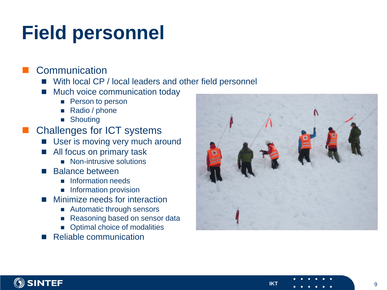### **Field personnel**

#### Communication

- With local CP / local leaders and other field personnel
- Much voice communication today
	- Person to person
	- Radio / phone
	- **B** Shouting
- Challenges for ICT systems
	- User is moving very much around
	- All focus on primary task
		- Non-intrusive solutions
	- Balance between
		- Information needs
		- **Information provision**
	- Minimize needs for interaction
		- Automatic through sensors
		- Reasoning based on sensor data
		- **•** Optimal choice of modalities
	- Reliable communication



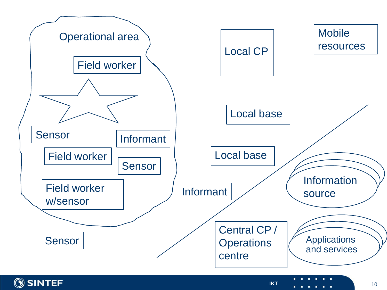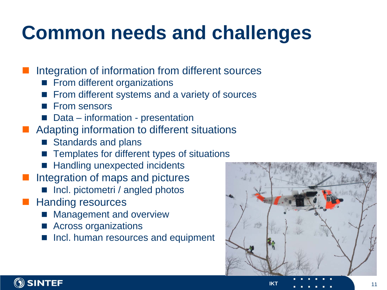## **Common needs and challenges**

- Integration of information from different sources
	- From different organizations
	- From different systems and a variety of sources
	- From sensors
	- Data information presentation
- Adapting information to different situations
	- Standards and plans
	- Templates for different types of situations
	- Handling unexpected incidents
- Integration of maps and pictures
	- Incl. pictometri / angled photos
- Handing resources
	- Management and overview
	- Across organizations
	- Incl. human resources and equipment



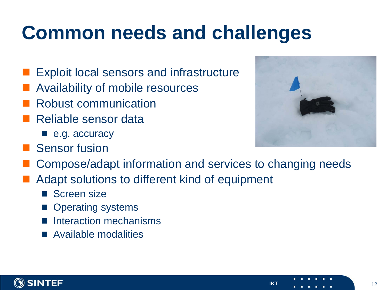### **Common needs and challenges**

- Exploit local sensors and infrastructure
- Availability of mobile resources
- Robust communication
- Reliable sensor data
	- e.g. accuracy
- **Sensor fusion**



- Adapt solutions to different kind of equipment
	- Screen size
	- Operating systems
	- Interaction mechanisms
	- Available modalities



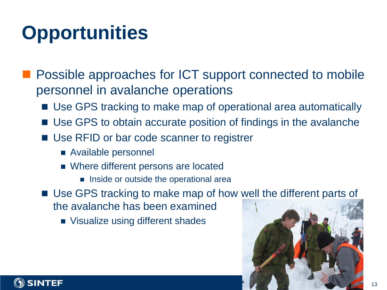# **Opportunities**

 Possible approaches for ICT support connected to mobile personnel in avalanche operations

- Use GPS tracking to make map of operational area automatically
- Use GPS to obtain accurate position of findings in the avalanche
- Use RFID or bar code scanner to registrer
	- Available personnel
	- Where different persons are located
		- **Inside or outside the operational area**
- Use GPS tracking to make map of how well the different parts of the avalanche has been examined
	- **No Visualize using different shades**



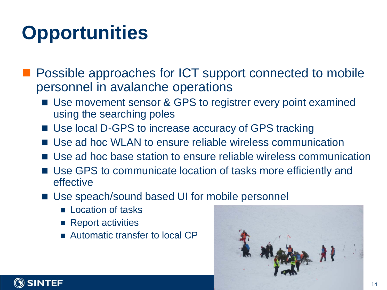# **Opportunities**

 Possible approaches for ICT support connected to mobile personnel in avalanche operations

- Use movement sensor & GPS to registrer every point examined using the searching poles
- Use local D-GPS to increase accuracy of GPS tracking
- Use ad hoc WLAN to ensure reliable wireless communication
- Use ad hoc base station to ensure reliable wireless communication
- Use GPS to communicate location of tasks more efficiently and effective
- Use speach/sound based UI for mobile personnel
	- **Location of tasks**
	- $\blacksquare$  Report activities
	- Automatic transfer to local CP